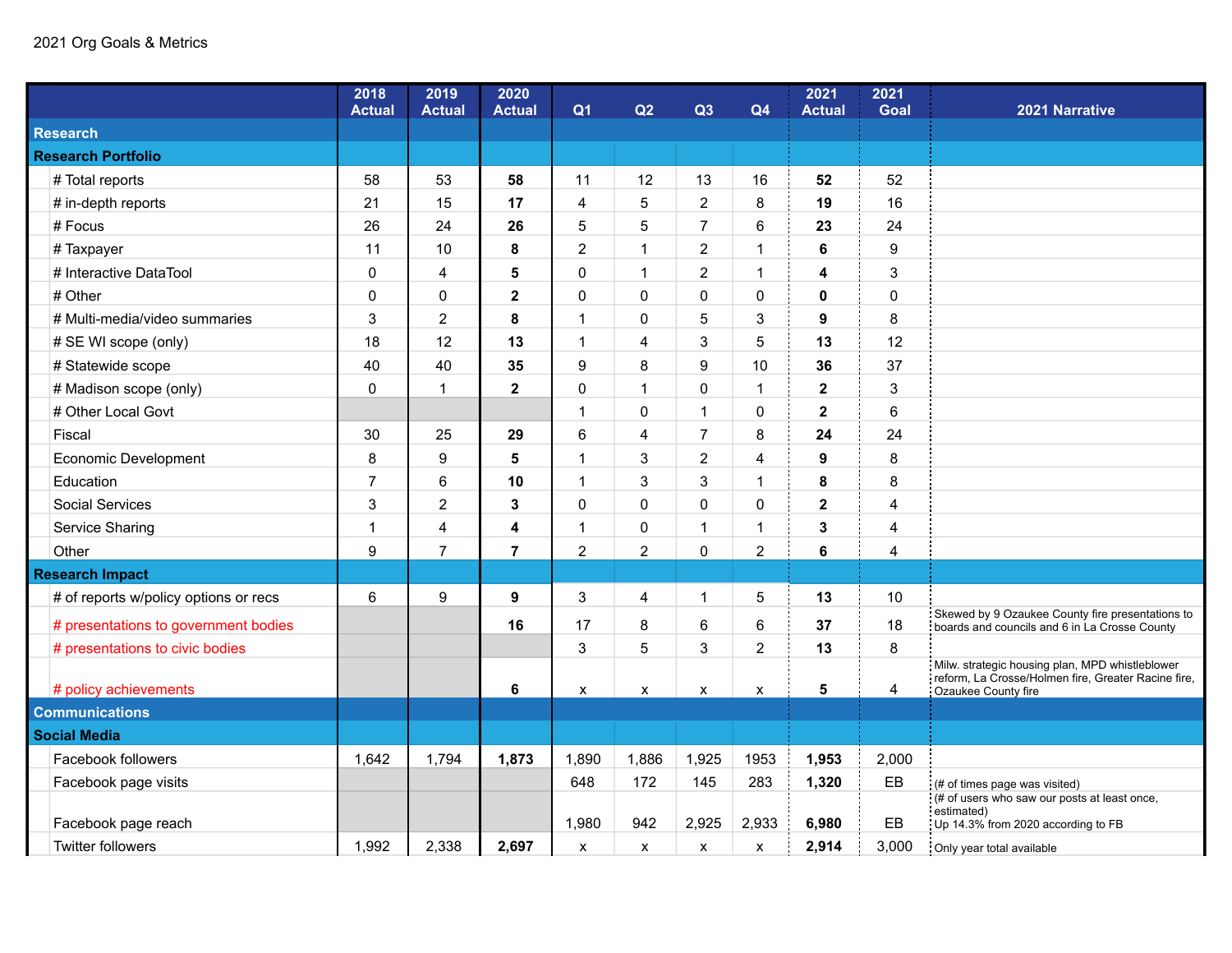## 2021 Org Goals & Metrics

|                                       | 2018<br><b>Actual</b> | 2019<br><b>Actual</b>   | 2020<br><b>Actual</b> | Q <sub>1</sub> | Q2                 | Q3             | Q4             | 2021<br><b>Actual</b> | 2021<br><b>Goal</b> | 2021 Narrative                                                                                                                |
|---------------------------------------|-----------------------|-------------------------|-----------------------|----------------|--------------------|----------------|----------------|-----------------------|---------------------|-------------------------------------------------------------------------------------------------------------------------------|
| <b>Research</b>                       |                       |                         |                       |                |                    |                |                |                       |                     |                                                                                                                               |
| <b>Research Portfolio</b>             |                       |                         |                       |                |                    |                |                |                       |                     |                                                                                                                               |
| # Total reports                       | 58                    | 53                      | 58                    | 11             | 12                 | 13             | 16             | 52                    | 52                  |                                                                                                                               |
| # in-depth reports                    | 21                    | 15                      | 17                    | 4              | 5                  | $\overline{c}$ | 8              | 19                    | 16                  |                                                                                                                               |
| # Focus                               | 26                    | 24                      | 26                    | 5              | 5                  | $\overline{7}$ | 6              | 23                    | 24                  |                                                                                                                               |
| # Taxpayer                            | 11                    | 10                      | 8                     | $\overline{2}$ | $\mathbf{1}$       | $\overline{2}$ | $\mathbf{1}$   | 6                     | 9                   |                                                                                                                               |
| # Interactive DataTool                | 0                     | 4                       | 5                     | $\Omega$       | $\mathbf{1}$       | $\overline{2}$ | $\mathbf{1}$   | 4                     | 3                   |                                                                                                                               |
| # Other                               | 0                     | 0                       | $\mathbf 2$           | 0              | 0                  | 0              | 0              | 0                     | $\pmb{0}$           |                                                                                                                               |
| # Multi-media/video summaries         | 3                     | $\overline{2}$          | 8                     | 1              | 0                  | 5              | 3              | $\boldsymbol{9}$      | 8                   |                                                                                                                               |
| # SE WI scope (only)                  | 18                    | 12                      | 13                    | $\mathbf 1$    | 4                  | 3              | 5              | 13                    | 12                  |                                                                                                                               |
| # Statewide scope                     | 40                    | 40                      | 35                    | 9              | 8                  | 9              | 10             | 36                    | 37                  |                                                                                                                               |
| # Madison scope (only)                | 0                     | $\overline{1}$          | $\mathbf{2}$          | $\Omega$       | $\mathbf{1}$       | 0              | $\mathbf{1}$   | $\mathbf{2}$          | 3                   |                                                                                                                               |
| # Other Local Govt                    |                       |                         |                       | 1              | 0                  | 1              | 0              | $\mathbf{2}$          | 6                   |                                                                                                                               |
| Fiscal                                | 30                    | 25                      | 29                    | 6              | 4                  | $\overline{7}$ | 8              | 24                    | 24                  |                                                                                                                               |
| Economic Development                  | 8                     | 9                       | 5                     | 1              | 3                  | $\overline{2}$ | 4              | $\boldsymbol{9}$      | 8                   |                                                                                                                               |
| Education                             | $\overline{7}$        | 6                       | 10                    | $\mathbf 1$    | 3                  | 3              | $\mathbf{1}$   | 8                     | 8                   |                                                                                                                               |
| Social Services                       | 3                     | $\overline{2}$          | 3                     | 0              | 0                  | 0              | $\mathbf 0$    | $\mathbf 2$           | $\overline{4}$      |                                                                                                                               |
| Service Sharing                       | 1                     | $\overline{\mathbf{4}}$ | 4                     | 1              | 0                  | $\mathbf{1}$   | $\mathbf{1}$   | 3                     | $\overline{4}$      |                                                                                                                               |
| Other                                 | 9                     | $\overline{7}$          | $\overline{7}$        | $\overline{2}$ | $\overline{2}$     | 0              | $\overline{2}$ | 6                     | $\overline{4}$      |                                                                                                                               |
| <b>Research Impact</b>                |                       |                         |                       |                |                    |                |                |                       |                     |                                                                                                                               |
| # of reports w/policy options or recs | 6                     | 9                       | 9                     | 3              | 4                  | 1              | 5              | 13                    | 10                  |                                                                                                                               |
| # presentations to government bodies  |                       |                         | 16                    | 17             | 8                  | 6              | 6              | 37                    | 18                  | Skewed by 9 Ozaukee County fire presentations to<br>boards and councils and 6 in La Crosse County                             |
| # presentations to civic bodies       |                       |                         |                       | 3              | 5                  | 3              | $\overline{2}$ | 13                    | 8                   |                                                                                                                               |
| # policy achievements                 |                       |                         | 6                     | X              | $\pmb{\mathsf{X}}$ | $\mathsf{x}$   | $\pmb{\chi}$   | 5                     | 4                   | Milw. strategic housing plan, MPD whistleblower<br>reform, La Crosse/Holmen fire, Greater Racine fire,<br>Ozaukee County fire |
| <b>Communications</b>                 |                       |                         |                       |                |                    |                |                |                       |                     |                                                                                                                               |
| <b>Social Media</b>                   |                       |                         |                       |                |                    |                |                |                       |                     |                                                                                                                               |
| Facebook followers                    | 1,642                 | 1,794                   | 1,873                 | 1,890          | 1,886              | 1,925          | 1953           | 1,953                 | 2,000               |                                                                                                                               |
| Facebook page visits                  |                       |                         |                       | 648            | 172                | 145            | 283            | 1,320                 | EB                  | (# of times page was visited)                                                                                                 |
| Facebook page reach                   |                       |                         |                       | 1,980          | 942                | 2,925          | 2,933          | 6,980                 | EB                  | (# of users who saw our posts at least once,<br>estimated)<br>Up 14.3% from 2020 according to FB                              |
| <b>Twitter followers</b>              | 1,992                 | 2,338                   | 2,697                 | X              | X                  | X              | X              | 2,914                 | 3,000               | Only year total available                                                                                                     |